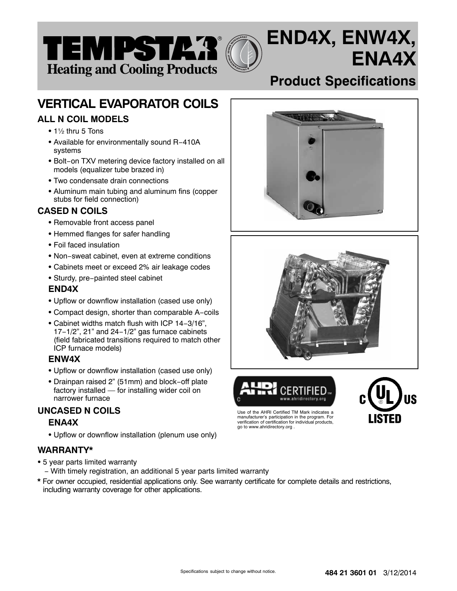

# **VERTICAL EVAPORATOR COILS**

# **ALL N COIL MODELS**

- $\bullet$  1½ thru 5 Tons
- Available for environmentally sound R−410A systems
- Bolt−on TXV metering device factory installed on all models (equalizer tube brazed in)
- Two condensate drain connections
- Aluminum main tubing and aluminum fins (copper stubs for field connection)

# **CASED N COILS**

- Removable front access panel
- Hemmed flanges for safer handling
- Foil faced insulation
- Non−sweat cabinet, even at extreme conditions
- Cabinets meet or exceed 2% air leakage codes
- Sturdy, pre−painted steel cabinet

## **END4X**

- Upflow or downflow installation (cased use only)
- Compact design, shorter than comparable A−coils
- Cabinet widths match flush with ICP 14−3/16", 17−1/2", 21" and 24−1/2" gas furnace cabinets (field fabricated transitions required to match other ICP furnace models)

## **ENW4X**

- Upflow or downflow installation (cased use only)
- Drainpan raised 2" (51mm) and block−off plate factory installed — for installing wider coil on narrower furnace

# **UNCASED N COILS**

## **ENA4X**

- Upflow or downflow installation (plenum use only)

## **WARRANTY\***

- 5 year parts limited warranty
	- − With timely registration, an additional 5 year parts limited warranty
- **\*** For owner occupied, residential applications only. See warranty certificate for complete details and restrictions, including warranty coverage for other applications.

# **Product Specifications**

**ENA4X**

**END4X, ENW4X,**







manufacturer's participation in the program. For verification of certification for individual products,

go to www.ahridirectory.org .

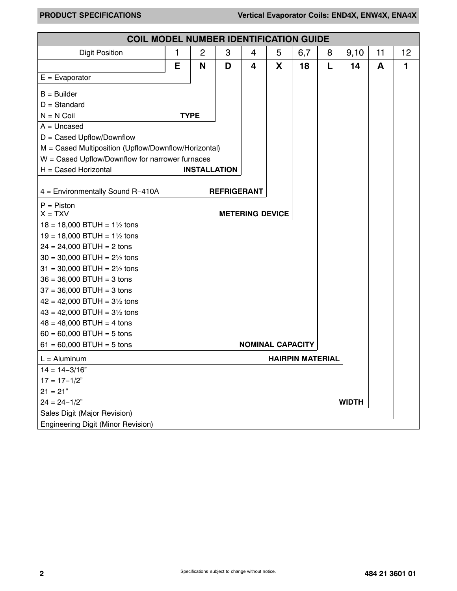| <b>COIL MODEL NUMBER IDENTIFICATION GUIDE</b>        |   |                     |                    |                         |   |                         |   |      |    |    |  |
|------------------------------------------------------|---|---------------------|--------------------|-------------------------|---|-------------------------|---|------|----|----|--|
| <b>Digit Position</b>                                | 1 | $\overline{c}$      | 3                  | 4                       | 5 | 6,7                     | 8 | 9,10 | 11 | 12 |  |
|                                                      | E | N                   | D                  | 4                       | X | 18                      | L | 14   | A  | 1  |  |
| $E = E$ vaporator                                    |   |                     |                    |                         |   |                         |   |      |    |    |  |
| $B =$ Builder                                        |   |                     |                    |                         |   |                         |   |      |    |    |  |
| $D = Standard$                                       |   |                     |                    |                         |   |                         |   |      |    |    |  |
| $N = N$ Coil                                         |   | <b>TYPE</b>         |                    |                         |   |                         |   |      |    |    |  |
| $A =$ Uncased                                        |   |                     |                    |                         |   |                         |   |      |    |    |  |
| $D =$ Cased Upflow/Downflow                          |   |                     |                    |                         |   |                         |   |      |    |    |  |
| M = Cased Multiposition (Upflow/Downflow/Horizontal) |   |                     |                    |                         |   |                         |   |      |    |    |  |
| $W =$ Cased Upflow/Downflow for narrower furnaces    |   |                     |                    |                         |   |                         |   |      |    |    |  |
| H = Cased Horizontal                                 |   | <b>INSTALLATION</b> |                    |                         |   |                         |   |      |    |    |  |
| 4 = Environmentally Sound R-410A                     |   |                     | <b>REFRIGERANT</b> |                         |   |                         |   |      |    |    |  |
|                                                      |   |                     |                    |                         |   |                         |   |      |    |    |  |
| $P = P$ iston<br>$X = TXV$                           |   |                     |                    | <b>METERING DEVICE</b>  |   |                         |   |      |    |    |  |
| $18 = 18,000$ BTUH = $1\frac{1}{2}$ tons             |   |                     |                    |                         |   |                         |   |      |    |    |  |
| $19 = 18,000$ BTUH = $1\frac{1}{2}$ tons             |   |                     |                    |                         |   |                         |   |      |    |    |  |
| $24 = 24,000$ BTUH = 2 tons                          |   |                     |                    |                         |   |                         |   |      |    |    |  |
| $30 = 30,000$ BTUH = $2\frac{1}{2}$ tons             |   |                     |                    |                         |   |                         |   |      |    |    |  |
| $31 = 30,000$ BTUH = $2\frac{1}{2}$ tons             |   |                     |                    |                         |   |                         |   |      |    |    |  |
| $36 = 36,000$ BTUH = 3 tons                          |   |                     |                    |                         |   |                         |   |      |    |    |  |
| $37 = 36,000$ BTUH = 3 tons                          |   |                     |                    |                         |   |                         |   |      |    |    |  |
| $42 = 42,000$ BTUH = $3\frac{1}{2}$ tons             |   |                     |                    |                         |   |                         |   |      |    |    |  |
| $43 = 42,000$ BTUH = $3\frac{1}{2}$ tons             |   |                     |                    |                         |   |                         |   |      |    |    |  |
| $48 = 48,000$ BTUH = 4 tons                          |   |                     |                    |                         |   |                         |   |      |    |    |  |
| $60 = 60,000$ BTUH = 5 tons                          |   |                     |                    |                         |   |                         |   |      |    |    |  |
| $61 = 60,000$ BTUH = 5 tons                          |   |                     |                    | <b>NOMINAL CAPACITY</b> |   |                         |   |      |    |    |  |
| $L =$ Aluminum                                       |   |                     |                    |                         |   | <b>HAIRPIN MATERIAL</b> |   |      |    |    |  |
| $14 = 14 - 3/16"$                                    |   |                     |                    |                         |   |                         |   |      |    |    |  |
| $17 = 17 - 1/2"$                                     |   |                     |                    |                         |   |                         |   |      |    |    |  |
| $21 = 21"$                                           |   |                     |                    |                         |   |                         |   |      |    |    |  |
| $24 = 24 - 1/2"$<br><b>WIDTH</b>                     |   |                     |                    |                         |   |                         |   |      |    |    |  |
| Sales Digit (Major Revision)                         |   |                     |                    |                         |   |                         |   |      |    |    |  |
| <b>Engineering Digit (Minor Revision)</b>            |   |                     |                    |                         |   |                         |   |      |    |    |  |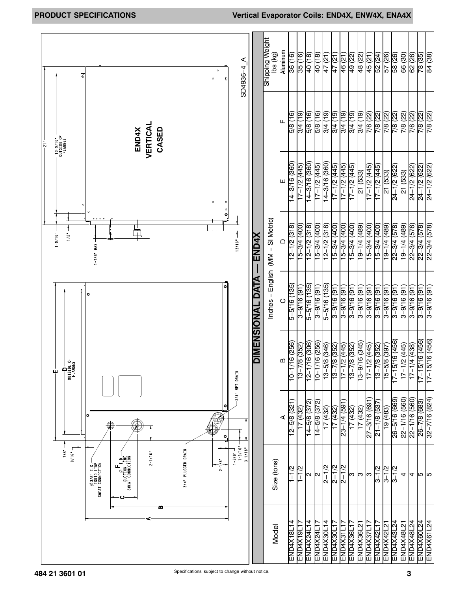|                                            |                                                                                                                                            | ⋖<br>SD4936-4<br>$\circ$<br>$\bf 0$<br>$\circ$                               |                  | Shipping Weight<br>lbs (kg)       | <b>Aluminum</b> | 36 (16)<br>35(16)                                         | (81) 0 <del>7</del>         | 40 (18)                     | 47 (21)          | 47 (21)                                     | 46 (21)<br>49 (22)           | 48 (22)                        | 45 (21)                | 52 (24)                   | 57 (26)                       | 58 (26)           | 66 (30)                   | 62 (28)                | 78 (35)             | 84 (38)               |
|--------------------------------------------|--------------------------------------------------------------------------------------------------------------------------------------------|------------------------------------------------------------------------------|------------------|-----------------------------------|-----------------|-----------------------------------------------------------|-----------------------------|-----------------------------|------------------|---------------------------------------------|------------------------------|--------------------------------|------------------------|---------------------------|-------------------------------|-------------------|---------------------------|------------------------|---------------------|-----------------------|
| - 18-9/16"<br>OUTSIDE OF<br>FLANGES<br>្លុ | VERTICAL<br>CASED<br><b>END4X</b>                                                                                                          |                                                                              |                  |                                   |                 | 3/4 (19)<br>5/8 (16)                                      | (16) 8/9                    | 5/8 (16)                    | 3/4 (19)         | (6L)  +/S<br>3/4 (19)                       | 3/4 (19)                     | 3/4(19)                        | 7/8 (22)               | 7/8 (22)                  | 7/8 (22)                      | 7/8 (22)          | 7/8 (22)                  | 7/8 (22)               | 7/8 (22)            | 7/8 (22)              |
|                                            |                                                                                                                                            | $\circ$<br>$\circ$                                                           |                  |                                   |                 | $14 - 3/16$ (360)<br>17-1/2 (445)                         | (096) 91/8-11               | 17-1/2 (445)                | 14-3/16 (360)    | $17 - 1/2$ $(445)$                          | (Str) 2/1-21<br>17-1/2 (445) | 21 (533)                       | 17-1/2 (445)           | 17-1/2 (445)              | 21 (533)                      | 24-1/2 (622)      | 21 (533)                  | 24-1/2 (622)           | 24-1/2 (622)        | 24-1/2 (622)          |
| 1/2<br>$1 - 9/16$ "                        | $\circ$ $\circ$ $\circ$ $\circ$<br>$1 - 7/8$ " MAX -                                                                                       | $\circ$<br>$\bullet$<br>13/16"                                               | <b>END4X</b>     |                                   | ≏               | $12 - 1/2$ (318)<br>$\overline{15-3/4}$ (400)             | 12-1/2 (318)                | $15-3/4$ $(400)$            | $12 - 1/2$ (318) | $\overline{15-3/4}$ (400)<br>$15-3/4$ (400) | 15-3/4 (400)                 | $\frac{(68b)}{(69-1)(4)(489)}$ | $15 - 3/4$ (400)       | (00 <del>b</del> ) +/8-9L | $19 - 1/4$ (489)              | 22-3/4 (578)      | (68 <del>t</del> ) t/1-61 | 22-3/4 (578)           | 22-3/4 (578)        | $22 - 3/4$ (578)      |
|                                            |                                                                                                                                            | ol                                                                           | DIMENSIONAL DATA | Inches - English (MM - SI Metric) |                 | 5-5/16 (135)<br>$(16)91/6-$                               | 5-5/16 (135)                | $3 - 9/16(91)$              | $5 - 5/16$ (135) | $3 - 9/16(91)$<br>$(16)(9-3-3)$             | $3 - 9/16$ (91)              | $3 - 9/16$ (91)                | (16) 91/6-8            | $(16)91/6-$               | $3 - 9/16$ (91                | $3 - 9/16$ (91)   | $3 - 9/16$ (91)           | $3 - 9/16 (91)$        | $3 - 9/16(91)$      | $3 - 9/16$ (91)       |
| OUTSIDE OF<br>FLANGES<br>டி                |                                                                                                                                            |                                                                              |                  |                                   | a               | 1/16 (256)<br>$\overline{13-7/8}$ (352)<br>$\overline{0}$ | 1/16 (306)<br>$\frac{1}{2}$ | 1/16 (256)<br>$\frac{1}{2}$ | $13 - 5/8$ (346) | $13 - 7/8$ (352)<br>$17 - 1/2$ (445)        | 13-7/8 (352)                 | $13 - 9/16$ (345)              | $\frac{17-1}{2}$ (445) | $\overline{13-7/8}$ (352) | $.5/8$ (397)<br>$\frac{1}{2}$ | $17 - 15/16(456)$ | 17-1/2 (445)              | $\frac{17-1}{4}$ (438) | 5/16 (456)<br>$-11$ | 5/16 (456)<br>$-17-1$ |
|                                            | $\circ$<br>€                                                                                                                               | -3/4" NPT DRAIN<br>۰<br>٥                                                    |                  |                                   | ⋖               | $12 - 5/8$ (321)<br>17(432)                               | 14-5/8 (372)                | 14-5/8 (372)                | 17 (432)         | $23 - 1/4$ (591<br>(432)                    | 17 (432)                     | 17 (432)                       | $27 - 3/16$ (691)      | 21-1/8 (537)              | 19 (483)                      | $26 - 5/16$ (669) | 22-1/16 (560)             | 22-1/16 (560)          | 26-7/8 (683)        | 32-7/16 (824)         |
| 9/16"<br>7/8"                              | $2 - 1/16"$<br>NOILDINNOJ LYJMS<br>SMETI NOILDIS<br>- U I , Ø<br><b>SWEAT CONNECTION</b><br>INLI OIND LINE<br>- 0 : 1 0/07<br>- 0 : 1 0/08 | $1 - 9/16"$<br>$3 - 1/16"$<br>3/4" PLUGGED DRAIN<br>$1 - 3/8"$<br>$2 - 1/8"$ |                  | Size (tons)                       |                 | $1 - 1/2$<br>1–12<br>1–1                                  | И                           | N                           | $2 - 1/2$        | $2 - 1/2$<br>$2 - 1/2$                      | ო                            | S                              | က                      | $3 - 1/2$                 | $3 - 1/2$                     | $3 - 1/2$         | 4                         | 4                      | ဖြူ ဖြ              |                       |
|                                            |                                                                                                                                            |                                                                              |                  | Model                             |                 | END4X18L14<br>END4X19L17                                  | END4X24L14                  | END4X24L1                   | END4X30L14       | END4X31L17<br>END4X30L17                    | END4X36L1                    | END4X36L2                      | END4X37L17             | END4X42L17                | END4X42L2                     | END4X43L24        | END4X48L21                | END4X48L24             | END4X60L24          | END4X61L24            |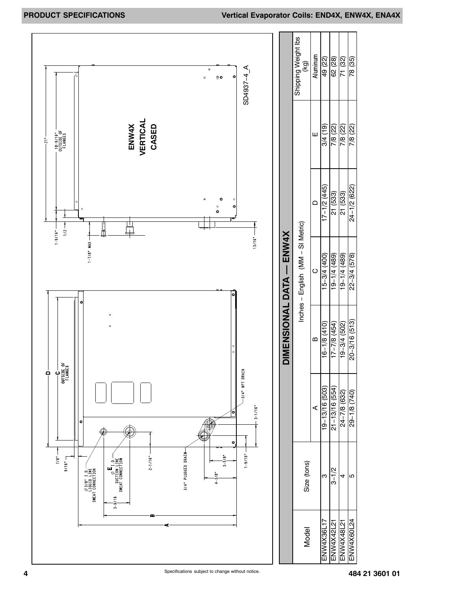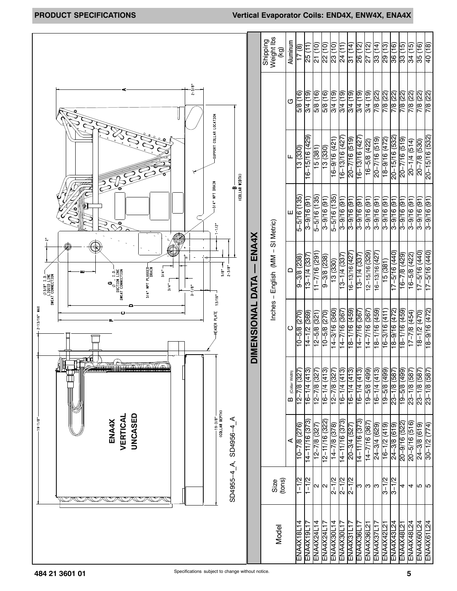|                                                                                                                                                                     |                      | Shipping<br>Weight lbs<br>(kg)    | Aluminum         | $(8)$ $\angle$ $\vdash$ | 25 (11)            | 21 (10)         | 22 (10)                  | 23 (10)                | 24 (11)            | 31(14)            | 26 (12)        | (12)<br>72     | 33 (14)           | 29 (13)           | 36 (16)            | 33 (15)                   | 34 (15)            | 40 (18)<br>35(16)                      |
|---------------------------------------------------------------------------------------------------------------------------------------------------------------------|----------------------|-----------------------------------|------------------|-------------------------|--------------------|-----------------|--------------------------|------------------------|--------------------|-------------------|----------------|----------------|-------------------|-------------------|--------------------|---------------------------|--------------------|----------------------------------------|
| $2 - 3/8$ "                                                                                                                                                         |                      |                                   | ৩                | 5/8 (16)                | 8/4 (19)           | (16) 8/9        | 5/8 (16)                 | 3/4(19)                | 3/4(19)            | 3/4 (19)          | 3/4(19)        | 8/4 (19)       | 7/8 (22)          | 7/8 (22)          | 7/8 (22)           | 7/8 (22)                  | 7/8 (22)           | 7/8 (22)<br>7/8 (22)                   |
| SUPPORT COLLAR LOCATION                                                                                                                                             |                      |                                   | ц.               | 13(330)                 | 16-15/16 (429)     | 15(381)         | (330)                    | $\frac{16-9}{16-421}$  | 16-13/16 (427      | $20 - 7/16$ (519) | 16-13/16 (427  | 16-5/8 (422)   | $20 - 7/16$ (519) | 18-9/16 (472)     | $20 - 15/16$ (532) | $20 - 7/16$ (519)         | $20 - 1/4$ (514)   | 20-15/16 (532)<br>$20 - 7/8$ (530)     |
| (COLLAR WIDTH)<br>$-3/4$ " NPT DRAIN<br>œ<br>$1 - 1/2$                                                                                                              |                      |                                   | ш                | $5 - 5/16$ (135)        | $3 - 9/16$ (91)    | 5-5/16 (135)    | $3 - 9/16$ (91)          | $5 - 5/16$ (135)       | $3 - 9/16$ (91)    | $3 - 9/16$ (91)   | $(16)$ 9/16-8  | $169/16-5$     | $3 - 9/16$ (91)   | $3 - 9/16$ (91    | $3 - 9/16$ (91     | $3 - 9/16$ (91            | $3 - 9/16$ (91)    | $3 - 9/16$ (91)<br>$3 - 9/16$ (91)     |
| O<br>$-1/8$<br>$2 - 3/8$ "<br><b>MIVAG LAN "MAIN</b><br>Wallah Lan "Mai<br>$3/4$ "<br>NOILONNOJ LYJMS<br>TION TIME<br>TOTI 48/80<br>$3/4$ <sup>*</sup><br>$3 - 1/8$ | <b>ENA4X</b><br>DATA | Inches - English (MM - SI Metric) | $\Box$           | $9 - 3/8$ (238)         | 13-1/4 (337        | 162) 91/2-11    | $\overline{9-3/8}$ (238) | 13 (330)               | $13 - 1/4$ (337)   | 16-13/16 (427     | 13-1/4 (337)   | 12-15/16 (329) | 16-13/16 (427)    | 15 (381)          | 17-5/16 (440)      | (67 <del>b</del> ) 8/2-91 | $16 - 5/8$ (422)   | $17 - 5/16(440)$<br>17-5/16 (440)      |
| HEADER PLATE 13/16"<br>$2 - 13/16$ MAX                                                                                                                              | <b>DIMENSIONAL</b>   |                                   | ပ                | $10 - 5/8$ (270)        | $14 - 1/2$ (369)   | $(12-5/8)(321)$ | $(0.2)$ $8/5 - 01$       | 14-3/16 (360)          | $14 - 7/16(367)$   | 18-1/16 (459)     | 14–7/16 (367)  | 296) 91/2-11   | 18-1/16 (459)     | 16-3/16 (411)     | 18-9/16 (472)      | 18-1/16 (459)             | $(17 - 7/8)$ (454) | $(27)$ 9/16-81<br>$18 - 1/2$ (470)     |
| 1<br><del>mwaw</del> awa                                                                                                                                            |                      |                                   | B (Collar Width) | 122) 8/2-21             | $16 - 1/4$ (413)   | 12-7/8 (327     | 16-1/4 (413)             | 12-7/8 (327)           | $16 - 1/4$ $(413)$ | $16-1/4(413)$     | 16-1/4 (413)   | 19-5/8 (499)   | $16-1/4(413)$     | 19-5/8 (499)      | 23-1/8 (587        | 19-5/8 (499)              | 23-1/8 (587        | 23-1/8 (587)<br>23-1/8 (587)           |
| UNCASED<br>VERTICAL<br>$-19 - 1/8$<br>⋖<br>ENA4X<br>SD4956-4                                                                                                        |                      |                                   | ⋖                | 10-7/8 (276)            | $14 - 11/16$ (373) | 12-7/8 (327     | 12-11/16 (322)           | $\frac{14-7}{8}$ (378) | 14–11/16 (373)     | 20-3/4 (527)      | 14–11/16 (373) | 296) 91/2-11   | 24-3/4 (629)      | $(6 - 1/2)$ (419) | $24 - 3/8$ (619)   | 20-9/16 (522)             | $20 - 5/16$ (516)  | $24 - 3/8$ (619)<br>$30 - 1/2$ $(774)$ |
| SD4955-4 A,                                                                                                                                                         |                      | Size<br>(tons)                    |                  | $1 - 1/2$               | $1 - 1/2$          | $\mathbf{c}$    | N                        | $2 - 1/2$              | $2 - 1/2$          | $2 - 1/2$         | S              | ω              | ဇာ                | $3 - 1/2$         | $3 - 1/2$          | 4                         | 4                  | lЮ<br>∣ഥ                               |
|                                                                                                                                                                     |                      | Model                             |                  | ENA4X18L14              | ENAAX19L17         | ENAAX24L14      | ENA4X24L17               | ENA4X30L14             | ENA4X30L17         | ENA4X31L17        | ENA4X36L17     | ENA4X36L21     | ENA4X37L17        | ENA4X42L21        | ENA4X43L24         | ENA4X48L21                | ENA4X48L24         | ENA4X60L24<br>ENA4X61L24               |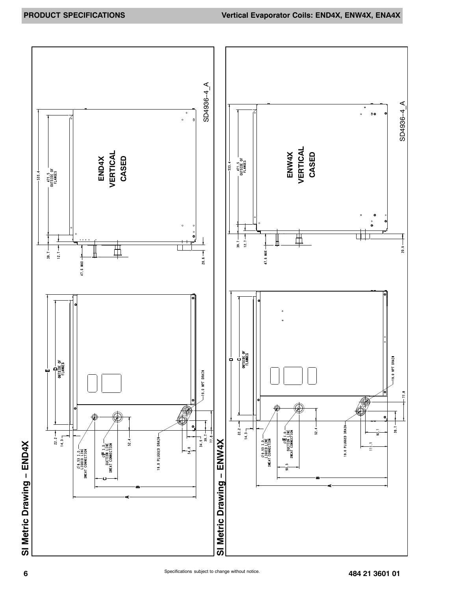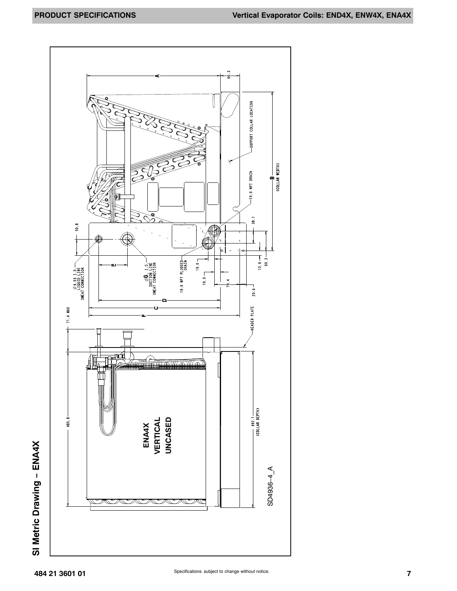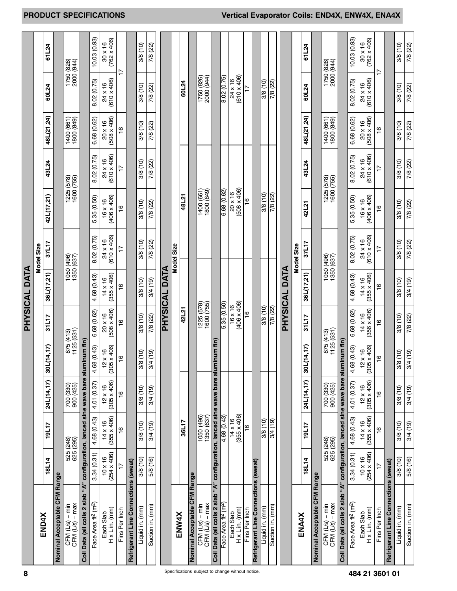|                                                                                                                                   |                                      |                               |                                      |                                                   |                                      | PHYSICAL DATA                        |                               |                                      |                               |                                      |                               |                                      |
|-----------------------------------------------------------------------------------------------------------------------------------|--------------------------------------|-------------------------------|--------------------------------------|---------------------------------------------------|--------------------------------------|--------------------------------------|-------------------------------|--------------------------------------|-------------------------------|--------------------------------------|-------------------------------|--------------------------------------|
| <b>END4X</b>                                                                                                                      |                                      |                               |                                      |                                                   |                                      |                                      | Model Size                    |                                      |                               |                                      |                               |                                      |
|                                                                                                                                   | <b>18L14</b>                         | 19L17                         | 24L(14,17)                           | 30L(14,17)                                        | 31L17                                | 36L(17,21)                           | 37L17                         | 42L(17,21)                           | 43L24                         | 48L(21,24)                           | 60L24                         | 61L24                                |
| Nominal Acceptable CFM Range                                                                                                      |                                      |                               |                                      |                                                   |                                      |                                      |                               |                                      |                               |                                      |                               |                                      |
| $CFM(L/s) - max$<br>$CFM (LS) - min$                                                                                              | 525 (248)<br>625 (295)               |                               | 700 (330)<br>900 (425)               |                                                   | 875 (413)<br>1125 (531)              |                                      | 1050 (496)<br>1350 (637)      |                                      | 1225 (578)<br>1600 (755)      | 1400 (661)<br>1800 (849)             | 1750 (826)<br>2000 (944)      |                                      |
| Coil Data (all coils 2 slab "A"                                                                                                   |                                      |                               | configuration, lanced sine wave bare | aluminum fin)                                     |                                      |                                      |                               |                                      |                               |                                      |                               |                                      |
| Face Area ft <sup>2</sup> (m <sup>2</sup> )                                                                                       | 3.34(0.31)                           | 4.68 (0.43)                   | 4.01 (0.37)                          | 4.68 (0.43)                                       | 6.68 (0.62)                          | 4.68 (0.43)                          | 8.02 (0.75)                   | 5.35 (0.50)                          | 8.02 (0.75)                   | 6.68 (0.62)                          | 8.02 (0.75)                   | 10.03(0.93)                          |
| $H \times L$ in. (mm)<br>Each Slab                                                                                                | $(254 \times 406)$<br>$10 \times 16$ | $14 \times 16$<br>(355 x 406) | $12 \times 16$<br>(305 x 406)        | $12 \times 16$<br>$35 \times 406$<br>$\mathbb{S}$ | $(508 \times 406)$<br>$20 \times 16$ | $(355 \times 406)$<br>$14 \times 16$ | $(610 \times 406)$<br>24 x 16 | $(406 \times 406)$<br>$16 \times 16$ | $(610 \times 406)$<br>24 x 16 | $(508 \times 406)$<br>$20 \times 16$ | $(610 \times 406)$<br>24 x 16 | $(762 \times 406)$<br>$30 \times 16$ |
| Fins Per Inch                                                                                                                     | $\overline{1}$                       | $\frac{6}{1}$                 | $\frac{6}{1}$                        | $\frac{6}{1}$                                     | $\frac{6}{1}$                        | $\frac{6}{1}$                        | $\overline{1}$                | $\frac{6}{1}$                        | $\overline{1}$                | $\frac{6}{1}$                        | $\overline{1}$                |                                      |
| Refrigerant Line Connections (sweat)                                                                                              |                                      |                               |                                      |                                                   |                                      |                                      |                               |                                      |                               |                                      |                               |                                      |
| Liquid in. (mm)                                                                                                                   | 3/8(10)                              | 3/8(10)                       | 3/8(10)                              | 3/8 (10)                                          | 3/8 (10)                             | 3/8 (10)                             | 3/8(10)                       | 3/8(10)                              | 3/8(10)                       | 3/8 (10)                             | 3/8(10)                       | 3/8(10)                              |
| Suction in. (mm)                                                                                                                  | 5/8 (16)                             | 3/4(19)                       | 3/4(19)                              | 3/4(19)                                           | 7/8 (22)                             | 3/4 (19)                             | 7/8 (22)                      | 7/8 (22)                             | 7/8 (22)                      | 7/8 (22)                             | 7/8 (22)                      | 7/8 (22)                             |
|                                                                                                                                   |                                      |                               |                                      |                                                   |                                      | <b>PHYSICAL DATA</b>                 |                               |                                      |                               |                                      |                               |                                      |
|                                                                                                                                   |                                      |                               |                                      |                                                   |                                      |                                      | Model Size                    |                                      |                               |                                      |                               |                                      |
| ENW4X                                                                                                                             |                                      | 36L17                         |                                      |                                                   | 42L21                                |                                      |                               | 48L21                                |                               |                                      | 60L24                         |                                      |
| Nominal Acceptable CFM Range                                                                                                      |                                      |                               |                                      |                                                   |                                      |                                      |                               |                                      |                               |                                      |                               |                                      |
| $\frac{\mathsf{CFM}}{\mathsf{CFM}}\left(\begin{matrix} \mathsf{L} / \mathsf{s} \end{matrix}\right) - \mathsf{min}}{\mathsf{CFM}}$ |                                      | 1050 (496)<br>1350 (637)      |                                      |                                                   | 1225 (578)<br>1600 (755)             |                                      |                               | (678) 0081<br>(199) 0071             |                               |                                      | 1750 (826)<br>2000 (944)      |                                      |
| Coil Data (all coils 2 slab "A" configuration, lanced sine wave bare alu                                                          |                                      |                               |                                      | minum fin)                                        |                                      |                                      |                               |                                      |                               |                                      |                               |                                      |
| Face Area ft <sup>2</sup> (m <sup>2</sup> )                                                                                       |                                      | $\frac{4.68(0.43)}{}$         |                                      |                                                   | 5.35 (0.50)                          |                                      |                               | 6.68(0.62)                           |                               |                                      | 8.02 (0.75)                   |                                      |
| Each Slab                                                                                                                         |                                      | $14 \times 16$                |                                      |                                                   | 16 x 16<br>(406 x 406)               |                                      |                               | 20 x 16                              |                               |                                      | $24 \times 16$<br>(610 x 406) |                                      |
| $H \times L$ in. (mm)                                                                                                             |                                      | $(355 \times 406)$            |                                      |                                                   |                                      |                                      |                               | $(508 \times 406)$                   |                               |                                      |                               |                                      |
| Fins Per Inch                                                                                                                     |                                      | $\frac{6}{1}$                 |                                      |                                                   | <u>°</u>                             |                                      |                               | $\frac{6}{1}$                        |                               |                                      |                               |                                      |
| Refrigerant Line Connections (sweat)                                                                                              |                                      |                               |                                      |                                                   |                                      |                                      |                               |                                      |                               |                                      |                               |                                      |
| Liquid in. (mm)                                                                                                                   |                                      | 3/8(10)                       |                                      |                                                   | 3/8(10)                              |                                      |                               | 3/8(10)                              |                               |                                      | 3/8 (10)                      |                                      |
| Suction in. (mm)                                                                                                                  |                                      | (6L) #/8                      |                                      |                                                   | 7/8 (22)                             |                                      |                               | 7/8 (22)                             |                               |                                      | 7/8 (22)                      |                                      |
|                                                                                                                                   |                                      |                               |                                      |                                                   |                                      | PHYSICAL DATA                        |                               |                                      |                               |                                      |                               |                                      |
|                                                                                                                                   |                                      |                               |                                      |                                                   |                                      |                                      | Model Size                    |                                      |                               |                                      |                               |                                      |
| <b>ENA4X</b>                                                                                                                      | <b>18L14</b>                         | 19L17                         | 24L(14,17)                           | 30L(14,17)                                        | 31L17                                | 36L(17,21)                           | 37L17                         | 42121                                | 43L24                         | 48L(21,24)                           | 60L24                         | 61L24                                |
| Nominal Acceptable CFM Range                                                                                                      |                                      |                               |                                      |                                                   |                                      |                                      |                               |                                      |                               |                                      |                               |                                      |
| CFM $(L/s)$ – min<br>CFM $(L/s)$ – max                                                                                            | 525 (248)<br>625 (295)               |                               | 700 (330)<br>900 (425)               |                                                   | 875 (413)<br>1125 (531)              |                                      | 1050 (496)<br>1350 (637)      |                                      | 1225 (578)<br>1600 (755)      | 1400 (661)<br>1800 (849)             | 1750 (826)<br>2000 (944)      |                                      |
| Coil Data (all coils 2 slab "A" configuration, lanced sine wave bare aluminum fin)                                                |                                      |                               |                                      |                                                   |                                      |                                      |                               |                                      |                               |                                      |                               |                                      |
| Face Area ft <sup>2</sup> (m <sup>2</sup> )                                                                                       | 3.34(0.31)                           | 4.68 (0.43)                   | 4.01 (0.37)                          | 4.68 (0.43)                                       | 6.68 (0.62)                          | 4.68 (0.43)                          | 8.02 (0.75)                   | 5.35 (0.50)                          | 8.02 (0.75)                   | 6.68 (0.62)                          | 8.02 (0.75)                   | 10.03(0.93)                          |
| $H \times L$ in. (mm)<br>Each Slab                                                                                                | $(254 \times 406)$<br>$10 \times 16$ | $14 \times 16$<br>(355 x 406) | $12 \times 16$<br>(305 x 406)        | $12 \times 16$<br>$05 \times 406$<br>ලි           | $(356 \times 406)$<br>$14 \times 16$ | $14 \times 16$<br>(355 x 406)        | $24 \times 16$<br>(610 x 406) | $16 \times 16$<br>(406 x 406)        | $24 \times 16$<br>(610 x 406) | $(508 \times 406)$<br>$20 \times 16$ | $24 \times 16$<br>(610 x 406) | $30 \times 16$<br>$(762 \times 406)$ |
| Fins Per Inch                                                                                                                     | $\overline{1}$                       | $\frac{6}{1}$                 | $\frac{6}{1}$                        | $\frac{6}{5}$                                     | $\frac{6}{5}$                        | $\frac{6}{1}$                        | $\overline{1}$                | $\frac{6}{5}$                        | $\overline{1}$                | $\frac{6}{1}$                        | 77                            |                                      |
| Refrigerant Line Connections (sweat)                                                                                              |                                      |                               |                                      |                                                   |                                      |                                      |                               |                                      |                               |                                      |                               |                                      |
| Liquid in. (mm)                                                                                                                   | 3/8 (10)                             | 3/8 (10)                      | 3/8 (10)                             | 3/8 (10)                                          | 3/8 (10)                             | 3/8 (10)                             | 3/8 (10)                      | 3/8 (10)                             | 3/8 (10)                      | 3/8 (10)                             | 3/8 (10)                      | 3/8 (10)                             |
| Suction in. (mm)                                                                                                                  | 5/8 (16)                             | 3/4(19)                       | 3/4(19)                              | 3/4(19)                                           | 7/8 (22)                             | 3/4 (19)                             | 7/8 (22)                      | 7/8 (22)                             | 7/8 (22)                      | 7/8 (22)                             | 7/8 (22)                      | 7/8 (22)                             |

**8 184 21 3601 01** Specifications subject to change without notice.

# **PRODUCT SPECIFICATIONS Vertical Evaporator Coils: END4X, ENW4X, ENA4X**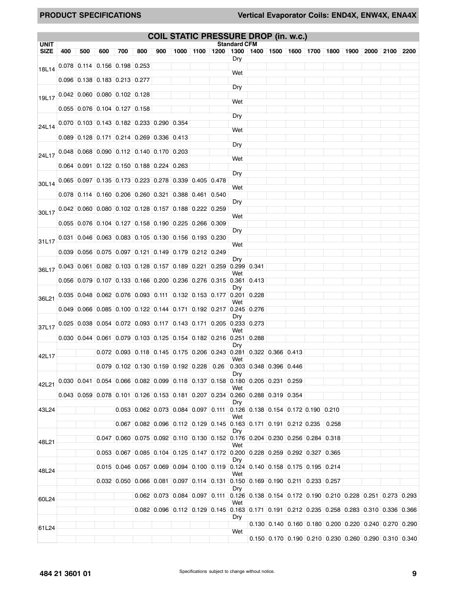|                                     |     |     |       |                                 |                                             |     |  | <b>COIL STATIC PRESSURE DROP (in. w.c.)</b>                                                                                                                 |                     |  |                                                         |  |      |      |      |
|-------------------------------------|-----|-----|-------|---------------------------------|---------------------------------------------|-----|--|-------------------------------------------------------------------------------------------------------------------------------------------------------------|---------------------|--|---------------------------------------------------------|--|------|------|------|
| <b>UNIT</b><br><b>SIZE</b>          | 400 | 500 | 600   | 700                             | 800                                         | 900 |  | 1000   1100   1200   1300   1400   1500   1600   1700   1800   1900                                                                                         | <b>Standard CFM</b> |  |                                                         |  | 2000 | 2100 | 2200 |
|                                     |     |     |       |                                 |                                             |     |  |                                                                                                                                                             | Dry                 |  |                                                         |  |      |      |      |
| 18L14                               |     |     |       |                                 | $0.078$ 0.114 0.156 0.198 0.253             |     |  |                                                                                                                                                             | Wet                 |  |                                                         |  |      |      |      |
|                                     |     |     |       | $0.096$ 0.138 0.183 0.213 0.277 |                                             |     |  |                                                                                                                                                             | Dry                 |  |                                                         |  |      |      |      |
| 19L17 0.042 0.060 0.080 0.102 0.128 |     |     |       |                                 |                                             |     |  |                                                                                                                                                             |                     |  |                                                         |  |      |      |      |
|                                     |     |     |       | $0.055$ 0.076 0.104 0.127 0.158 |                                             |     |  |                                                                                                                                                             | Wet                 |  |                                                         |  |      |      |      |
|                                     |     |     |       |                                 |                                             |     |  |                                                                                                                                                             | Dry                 |  |                                                         |  |      |      |      |
| 24L14                               |     |     |       |                                 | $0.070$ 0.103 0.143 0.182 0.233 0.290 0.354 |     |  |                                                                                                                                                             | Wet                 |  |                                                         |  |      |      |      |
|                                     |     |     |       |                                 | $0.089$ 0.128 0.171 0.214 0.269 0.336 0.413 |     |  |                                                                                                                                                             | Dry                 |  |                                                         |  |      |      |      |
| 24L17                               |     |     |       |                                 | $0.048$ 0.068 0.090 0.112 0.140 0.170 0.203 |     |  |                                                                                                                                                             |                     |  |                                                         |  |      |      |      |
|                                     |     |     |       |                                 | $0.064$ 0.091 0.122 0.150 0.188 0.224 0.263 |     |  |                                                                                                                                                             | Wet                 |  |                                                         |  |      |      |      |
|                                     |     |     |       |                                 |                                             |     |  |                                                                                                                                                             | Dry                 |  |                                                         |  |      |      |      |
| 30L14                               |     |     |       |                                 |                                             |     |  | $0.065$ 0.097 0.135 0.173 0.223 0.278 0.339 0.405 0.478                                                                                                     | Wet                 |  |                                                         |  |      |      |      |
|                                     |     |     |       |                                 |                                             |     |  | $0.078$ 0.114 0.160 0.206 0.260 0.321 0.388 0.461 0.540                                                                                                     |                     |  |                                                         |  |      |      |      |
| 30L17                               |     |     |       |                                 |                                             |     |  | $0.042$ $0.060$ $0.080$ $0.102$ $0.128$ $0.157$ $0.188$ $0.222$ $0.259$                                                                                     | Dry                 |  |                                                         |  |      |      |      |
|                                     |     |     |       |                                 |                                             |     |  | $0.055$ 0.076 0.104 0.127 0.158 0.190 0.225 0.266 0.309                                                                                                     | Wet                 |  |                                                         |  |      |      |      |
|                                     |     |     |       |                                 |                                             |     |  |                                                                                                                                                             | Dry                 |  |                                                         |  |      |      |      |
| 31L17                               |     |     |       |                                 |                                             |     |  | $0.031$ $0.046$ $0.063$ $0.083$ $0.105$ $0.130$ $0.156$ $0.193$ $0.230$                                                                                     | Wet                 |  |                                                         |  |      |      |      |
|                                     |     |     |       |                                 |                                             |     |  | $0.039$ 0.056 0.075 0.097 0.121 0.149 0.179 0.212 0.249                                                                                                     |                     |  |                                                         |  |      |      |      |
| 36L17                               |     |     |       |                                 |                                             |     |  | $0.043$ 0.061 0.082 0.103 0.128 0.157 0.189 0.221 0.259 0.299 0.341                                                                                         | Dry                 |  |                                                         |  |      |      |      |
|                                     |     |     |       |                                 |                                             |     |  | $0.056$ 0.079 0.107 0.133 0.166 0.200 0.236 0.276 0.315 0.361 0.413                                                                                         | Wet                 |  |                                                         |  |      |      |      |
|                                     |     |     |       |                                 |                                             |     |  |                                                                                                                                                             | Dry                 |  |                                                         |  |      |      |      |
| 36L21                               |     |     |       |                                 |                                             |     |  | $0.035$ 0.048 0.062 0.076 0.093 0.111 0.132 0.153 0.177 0.201 0.228                                                                                         | Wet                 |  |                                                         |  |      |      |      |
|                                     |     |     |       |                                 |                                             |     |  | $0.049$ 0.066 0.085 0.100 0.122 0.144 0.171 0.192 0.217 0.245 0.276                                                                                         |                     |  |                                                         |  |      |      |      |
|                                     |     |     |       |                                 |                                             |     |  | $0.025$ 0.038 0.054 0.072 0.093 0.117 0.143 0.171 0.205 0.233 0.273                                                                                         | Dry                 |  |                                                         |  |      |      |      |
| 37L17                               |     |     |       |                                 |                                             |     |  | $0.030$ 0.044 0.061 0.079 0.103 0.125 0.154 0.182 0.216 0.251 0.288                                                                                         | Wet                 |  |                                                         |  |      |      |      |
|                                     |     |     |       |                                 |                                             |     |  |                                                                                                                                                             | Dry                 |  |                                                         |  |      |      |      |
| 42L17                               |     |     |       |                                 |                                             |     |  | $0.072$ 0.093 0.118 0.145 0.175 0.206 0.243 0.281 0.322 0.366 0.413                                                                                         | Wet                 |  |                                                         |  |      |      |      |
|                                     |     |     |       |                                 |                                             |     |  | $0.079$ 0.102 0.130 0.159 0.192 0.228 0.26 0.303 0.348 0.396 0.446                                                                                          |                     |  |                                                         |  |      |      |      |
| 42L21                               |     |     |       |                                 |                                             |     |  | $0.030$ $0.041$ $0.054$ $0.066$ $0.082$ $0.099$ $0.118$ $0.137$ $0.158$ $0.180$ $0.205$ $0.231$ $0.259$                                                     | Dry                 |  |                                                         |  |      |      |      |
|                                     |     |     |       |                                 |                                             |     |  | $0.043$ $0.059$ $0.078$ $0.101$ $0.126$ $0.153$ $0.181$ $0.207$ $0.234$ $0.260$ $0.288$ $0.319$ $0.354$                                                     | Wet                 |  |                                                         |  |      |      |      |
|                                     |     |     |       |                                 |                                             |     |  |                                                                                                                                                             | Dry                 |  |                                                         |  |      |      |      |
| 43L24                               |     |     |       |                                 |                                             |     |  | 0.053 0.062 0.073 0.084 0.097 0.111 0.126 0.138 0.154 0.172 0.190 0.210                                                                                     | Wet                 |  |                                                         |  |      |      |      |
|                                     |     |     |       |                                 |                                             |     |  | $0.067$ 0.082 0.096 0.112 0.129 0.145 0.163 0.171 0.191 0.212 0.235 0.258                                                                                   |                     |  |                                                         |  |      |      |      |
| 48L21                               |     |     | 0.047 |                                 |                                             |     |  | $\mid$ 0.060 $\mid$ 0.075 $\mid$ 0.092 $\mid$ 0.110 $\mid$ 0.130 $\mid$ 0.152 $\mid$ 0.176 $\mid$ 0.204 $\mid$ 0.230 $\mid$ 0.256 $\mid$ 0.284 $\mid$ 0.318 | Dry                 |  |                                                         |  |      |      |      |
|                                     |     |     |       |                                 |                                             |     |  | $0.053 \mid 0.067 \mid 0.085 \mid 0.104 \mid 0.125 \mid 0.147 \mid 0.172 \mid 0.200 \mid 0.228 \mid 0.259 \mid 0.292 \mid 0.327 \mid 0.365$                 | Wet                 |  |                                                         |  |      |      |      |
|                                     |     |     |       |                                 |                                             |     |  | $0.015$ $0.046$ $0.057$ $0.069$ $0.094$ $0.100$ $0.119$ $0.124$ $0.140$ $0.158$ $0.175$ $0.195$ $0.214$                                                     | Dry                 |  |                                                         |  |      |      |      |
| 48L24                               |     |     |       |                                 |                                             |     |  |                                                                                                                                                             | Wet                 |  |                                                         |  |      |      |      |
|                                     |     |     |       |                                 |                                             |     |  | $0.032$ $0.050$ $0.066$ $0.081$ $0.097$ $0.114$ $0.131$ $0.150$ $0.169$ $0.190$ $0.211$ $0.233$ $0.257$                                                     | Dry                 |  |                                                         |  |      |      |      |
| 60L24                               |     |     |       |                                 |                                             |     |  | $0.062$ $0.073$ $0.084$ $0.097$ $0.111$ $0.126$ $0.138$ $0.154$ $0.172$ $0.190$ $0.210$ $0.228$ $0.251$ $0.273$ $0.293$                                     | Wet                 |  |                                                         |  |      |      |      |
|                                     |     |     |       |                                 |                                             |     |  | $0.082$ $0.096$ $0.112$ $0.129$ $0.145$ $0.163$ $0.171$ $0.191$ $0.212$ $0.235$ $0.258$ $0.283$ $0.310$ $0.336$ $0.366$                                     | Dry                 |  |                                                         |  |      |      |      |
| 61L24                               |     |     |       |                                 |                                             |     |  |                                                                                                                                                             |                     |  | $0.130$ 0.140 0.160 0.180 0.200 0.220 0.240 0.270 0.290 |  |      |      |      |
|                                     |     |     |       |                                 |                                             |     |  |                                                                                                                                                             | Wet                 |  | $0.150$ 0.170 0.190 0.210 0.230 0.260 0.290 0.310 0.340 |  |      |      |      |
|                                     |     |     |       |                                 |                                             |     |  |                                                                                                                                                             |                     |  |                                                         |  |      |      |      |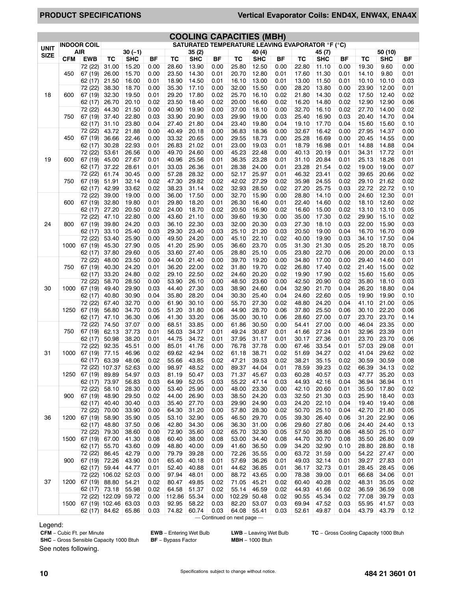# **PRODUCT SPECIFICATIONS Vertical Evaporator Coils: END4X, ENW4X, ENA4X**

|             |            |                               |                        |                |              |                        |                |              | <b>COOLING CAPACITIES (MBH)</b>                         |                |              |                |                |              |                        |                |              |
|-------------|------------|-------------------------------|------------------------|----------------|--------------|------------------------|----------------|--------------|---------------------------------------------------------|----------------|--------------|----------------|----------------|--------------|------------------------|----------------|--------------|
| <b>UNIT</b> |            | <b>INDOOR COIL</b>            |                        |                |              |                        |                |              | <b>SATURATED TEMPERATURE LEAVING EVAPORATOR °F (°C)</b> |                |              |                |                |              |                        |                |              |
| <b>SIZE</b> |            | AIR                           |                        | $30(-1)$       |              |                        | 35(2)          |              |                                                         | 40 (4)         |              |                | 45(7)          |              |                        | 50(10)         |              |
|             | <b>CFM</b> | <b>EWB</b>                    | $\overline{\text{TC}}$ | <b>SHC</b>     | ΒF           | $\overline{\text{TC}}$ | <b>SHC</b>     | <b>BF</b>    | $\overline{\text{TC}}$                                  | <b>SHC</b>     | BF           | TC             | <b>SHC</b>     | BF           | $\overline{\text{TC}}$ | <b>SHC</b>     | ΒF           |
|             |            | 72 (22)                       | 31.00                  | 15.20          | 0.00         | 28.60                  | 13.90          | 0.00         | 25.80                                                   | 12.50          | 0.00         | 22.80          | 11.10          | 0.00         | 19.30                  | 9.60           | 0.00         |
|             | 450        | 67 (19)                       | 26.00                  | 15.70          | 0.00         | 23.50                  | 14.30          | 0.01         | 20.70                                                   | 12.80          | 0.01         | 17.60          | 11.30          | 0.01         | 14.10                  | 9.80           | 0.01         |
|             |            | 62 (17)<br>72(22)             | 21.50                  | 16.00<br>18.70 | 0.01         | 18.90                  | 14.50          | 0.01<br>0.00 | 16.10<br>32.00                                          | 13.00          | 0.01<br>0.00 | 13.00          | 11.50<br>13.80 | 0.01         | 10.10                  | 10.10          | 0.03         |
| 18          | 600        | 67 (19)                       | 38.30<br>32.30         | 19.50          | 0.00<br>0.01 | 35.30<br>29.20         | 17.10<br>17.80 | 0.02         | 25.70                                                   | 15.50<br>16.10 | 0.02         | 28.20<br>21.80 | 14.30          | 0.00<br>0.02 | 23.90<br>17.50         | 12.00<br>12.40 | 0.01<br>0.02 |
|             |            | 62 (17)                       | 26.70                  | 20.10          | 0.02         | 23.50                  | 18.40          | 0.02         | 20.00                                                   | 16.60          | 0.02         | 16.20          | 14.80          | 0.02         | 12.90                  | 12.90          | 0.06         |
|             |            | 72 (22)                       | 44.30                  | 21.50          | 0.00         | 40.90                  | 19.90          | 0.00         | 37.00                                                   | 18.10          | 0.00         | 32.70          | 16.10          | 0.02         | 27.70                  | 14.00          | 0.02         |
|             | 750        | 67 (19)                       | 37.40                  | 22.80          | 0.03         | 33.90                  | 20.90          | 0.03         | 29.90                                                   | 19.00          | 0.03         | 25.40          | 16.90          | 0.03         | 20.40                  | 14.70          | 0.04         |
|             |            | 62 (17)                       | 31.10                  | 23.80          | 0.04         | 27.40                  | 21.80          | 0.04         | 23.40                                                   | 19.80          | 0.04         | 19.10          | 17.70          | 0.04         | 15.60                  | 15.60          | 0.10         |
|             |            | 72 (22)                       | 43.72                  | 21.88          | 0.00         | 40.49                  | 20.18          | 0.00         | 36.83                                                   | 18.36          | 0.00         | 32.67          | 16.42          | 0.00         | 27.95                  | 14.37          | 0.00         |
|             | 450        | 67 (19)                       | 36.66                  | 22.46          | 0.00         | 33.32                  | 20.65          | 0.00         | 29.55                                                   | 18.73          | 0.00         | 25.28          | 16.69          | 0.00         | 20.45                  | 14.55          | 0.00         |
|             |            | 62 (17)                       | 30.28                  | 22.93          | 0.01         | 26.83                  | 21.02          | 0.01         | 23.00                                                   | 19.03          | 0.01         | 18.79          | 16.98          | 0.01         | 14.88                  | 14.88          | 0.04         |
|             |            | 72 (22)                       | 53.61                  | 26.56          | 0.00         | 49.70                  | 24.60          | 0.00         | 45.23                                                   | 22.48          | 0.00         | 40.13          | 20.19          | 0.01         | 34.31                  | 17.72          | 0.01         |
| 19          | 600        | 67 (19)                       | 45.00                  | 27.67          | 0.01         | 40.96                  | 25.56          | 0.01         | 36.35                                                   | 23.28          | 0.01         | 31.10          | 20.84          | 0.01         | 25.13                  | 18.26          | 0.01         |
|             |            | 62 (17)                       | 37.22                  | 28.61          | 0.01         | 33.03                  | 26.36          | 0.01         | 28.38                                                   | 24.00          | 0.01         | 23.28          | 21.54          | 0.02         | 19.00                  | 19.00          | 0.07         |
|             |            | 72 (22)                       | 61.74                  | 30.45          | 0.00         | 57.28                  | 28.32          | 0.00         | 52.17                                                   | 25.97          | 0.01         | 46.32          | 23.41          | 0.02         | 39.65                  | 20.66          | 0.02         |
|             | 750        | 67 (19)<br>62 (17)            | 51.91<br>42.99         | 32.14<br>33.62 | 0.02<br>0.02 | 47.30<br>38.23         | 29.82<br>31.14 | 0.02<br>0.02 | 42.02<br>32.93                                          | 27.29<br>28.50 | 0.02<br>0.02 | 35.98<br>27.20 | 24.55<br>25.75 | 0.02<br>0.03 | 29.10<br>22.72         | 21.62<br>22.72 | 0.02<br>0.10 |
|             |            | 72(22)                        | 39.00                  | 19.00          | 0.00         | 36.00                  | 17.50          | 0.00         | 32.70                                                   | 15.90          | 0.00         | 28.80          | 14.10          | 0.00         | 24.60                  | 12.30          | 0.01         |
|             | 600        | 67 (19)                       | 32.80                  | 19.80          | 0.01         | 29.80                  | 18.20          | 0.01         | 26.30                                                   | 16.40          | 0.01         | 22.40          | 14.60          | 0.02         | 18.10                  | 12.60          | 0.02         |
|             |            | 62 (17)                       | 27.20                  | 20.50          | 0.02         | 24.00                  | 18.70          | 0.02         | 20.50                                                   | 16.90          | 0.02         | 16.60          | 15.00          | 0.02         | 13.10                  | 13.10          | 0.05         |
|             |            | 72 (22)                       | 47.10                  | 22.80          | 0.00         | 43.60                  | 21.10          | 0.00         | 39.60                                                   | 19.30          | 0.00         | 35.00          | 17.30          | 0.02         | 29.90                  | 15.10          | 0.02         |
| 24          | 800        | 67 (19)                       | 39.80                  | 24.20          | 0.03         | 36.10                  | 22.30          | 0.03         | 32.00                                                   | 20.30          | 0.03         | 27.30          | 18.10          | 0.03         | 22.00                  | 15.90          | 0.03         |
|             |            | 62 (17)                       | 33.10                  | 25.40          | 0.03         | 29.30                  | 23.40          | 0.03         | 25.10                                                   | 21.20          | 0.03         | 20.50          | 19.00          | 0.04         | 16.70                  | 16.70          | 0.09         |
|             |            | 72 (22)                       | 53.40                  | 25.90          | 0.00         | 49.50                  | 24.20          | 0.00         | 45.10                                                   | 22.10          | 0.02         | 40.00          | 19.90          | 0.03         | 34.10                  | 17.50          | 0.04         |
|             | 1000       | 67 (19)                       | 45.30                  | 27.90          | 0.05         | 41.20                  | 25.90          | 0.05         | 36.60                                                   | 23.70          | 0.05         | 31.30          | 21.30          | 0.05         | 25.20                  | 18.70          | 0.05         |
|             |            | 62 (17)                       | 37.80                  | 29.60          | 0.05         | 33.60                  | 27.40          | 0.05         | 28.80                                                   | 25.10          | 0.05         | 23.80          | 22.70          | 0.06         | 20.00                  | 20.00          | 0.13         |
|             |            | 72 (22)                       | 48.00                  | 23.50          | 0.00         | 44.00                  | 21.40          | 0.00         | 39.70                                                   | 19.20          | 0.00         | 34.80          | 17.00          | 0.00         | 29.40                  | 14.60          | 0.01         |
| 30          | 750        | 67 (19)                       | 40.30                  | 24.20          | 0.01         | 36.20                  | 22.00          | 0.02         | 31.80                                                   | 19.70          | 0.02         | 26.80          | 17.40          | 0.02         | 21.40                  | 15.00          | 0.02         |
|             |            | 62 (17)                       | 33.20                  | 24.80          | 0.02         | 29.10                  | 22.50          | 0.02         | 24.60                                                   | 20.20          | 0.02         | 19.90          | 17.90          | 0.02         | 15.60                  | 15.60          | 0.05         |
|             |            | 72 (22)                       | 58.70                  | 28.50          | 0.00         | 53.90                  | 26.10          | 0.00         | 48.50                                                   | 23.60          | 0.00         | 42.50          | 20.90          | 0.02         | 35.80                  | 18.10          | 0.03         |
|             | 1000       | 67 (19)                       | 49.40                  | 29.90          | 0.03         | 44.40                  | 27.30          | 0.03         | 38.90                                                   | 24.60          | 0.04         | 32.90          | 21.70          | 0.04         | 26.20                  | 18.80          | 0.04         |
|             |            | 62 (17)<br>72(22)             | 40.80<br>67.40         | 30.90<br>32.70 | 0.04<br>0.00 | 35.80<br>61.90         | 28.20<br>30.10 | 0.04<br>0.00 | 30.30<br>55.70                                          | 25.40<br>27.30 | 0.04<br>0.02 | 24.60<br>48.80 | 22.60<br>24.20 | 0.05<br>0.04 | 19.90<br>41.10         | 19.90<br>21.00 | 0.10<br>0.05 |
|             | 1250       | 67 (19)                       | 56.80                  | 34.70          | 0.05         | 51.20                  | 31.80          | 0.06         | 44.90                                                   | 28.70          | 0.06         | 37.80          | 25.50          | 0.06         | 30.10                  | 22.20          | 0.06         |
|             |            | 62 (17)                       | 47.10                  | 36.30          | 0.06         | 41.30                  | 33.20          | 0.06         | 35.00                                                   | 30.10          | 0.06         | 28.60          | 27.00          | 0.07         | 23.70                  | 23.70          | 0.14         |
|             |            | 72 (22)                       | 74.50                  | 37.07          | 0.00         | 68.51                  | 33.85          | 0.00         | 61.86                                                   | 30.50          | 0.00         | 54.41          | 27.00          | 0.00         | 46.04                  | 23.35          | 0.00         |
|             | 750        | 67 (19)                       | 62.13                  | 37.73          | 0.01         | 56.03                  | 34.37          | 0.01         | 49.24                                                   | 30.87          | 0.01         | 41.66          | 27.24          | 0.01         | 32.96                  | 23.39          | 0.01         |
|             |            | 62 (17)                       | 50.98                  | 38.20          | 0.01         | 44.75                  | 34.72          | 0.01         | 37.95                                                   | 31.17          | 0.01         | 30.17          | 27.36          | 0.01         | 23.70                  | 23.70          | 0.06         |
|             |            | 72 (22)                       | 92.35                  | 45.51          | 0.00         | 85.01                  | 41.76          | 0.00         | 76.78                                                   | 37.78          | 0.00         | 67.46          | 33.54          | 0.01         | 57.03                  | 29.08          | 0.01         |
| 31          | 1000       | 67 (19)                       | 77.15                  | 46.96          | 0.02         | 69.62                  | 42.94          | 0.02         | 61.18                                                   | 38.71          | 0.02         | 51.69          | 34.27          | 0.02         | 41.04                  | 29.62          | 0.02         |
|             |            | 62 (17)                       | 63.39                  | 48.06          | 0.02         | 55.66                  | 43.85          | 0.02         | 47.21                                                   | 39.53          | 0.02         | 38.21          | 35.15          | 0.02         | 30.59                  | 30.59          | 0.08         |
|             |            | 72 (22) 107.37 52.63          |                        |                | 0.00         | 98.97                  | 48.52          | 0.00         | 89.37                                                   | 44.04          | 0.01         | 78.59          | 39.23          | 0.02         | 66.39                  | 34.13          | 0.02         |
|             | 1250       | 67 (19)                       | 89.89                  | 54.97          | 0.03         | 81.19                  | 50.47          | 0.03         | 71.37                                                   | 45.67          | 0.03         | 60.28          | 40.57          | 0.03         | 47.77                  | 35.20          | 0.03         |
|             |            | 62 (17)<br>72 (22)            | 73.97<br>58.10         | 56.83<br>28.30 | 0.03<br>0.00 | 64.99<br>53.40         | 52.05<br>25.90 | 0.03<br>0.00 | 55.22<br>48.00                                          | 47.14<br>23.30 | 0.03<br>0.00 | 44.93<br>42.10 | 42.16<br>20.60 | 0.04<br>0.01 | 36.94<br>35.50         | 36.94<br>17.80 | 0.11<br>0.02 |
|             | 900        | 67 (19)                       | 48.90                  | 29.50          | 0.02         | 44.00                  | 26.90          | 0.03         | 38.50                                                   | 24.20          | 0.03         | 32.50          | 21.30          | 0.03         | 25.90                  | 18.40          | 0.03         |
|             |            | 62 (17)                       | 40.40                  | 30.40          | 0.03         | 35.40                  | 27.70          | 0.03         | 29.90                                                   | 24.90          | 0.03         | 24.20          | 22.10          | 0.04         | 19.40                  | 19.40          | 0.08         |
|             |            | 72(22)                        | 70.00                  | 33.90          | 0.00         | 64.30                  | 31.20          | 0.00         | 57.80                                                   | 28.30          | 0.02         | 50.70          | 25.10          | 0.04         | 42.70                  | 21.80          | 0.05         |
| 36          | 1200       | 67 (19)                       | 58.90                  | 35.90          | 0.05         | 53.10                  | 32.90          | 0.05         | 46.50                                                   | 29.70          | 0.05         | 39.30          | 26.40          | 0.06         | 31.20                  | 22.90          | 0.06         |
|             |            | 62 (17)                       | 48.80                  | 37.50          | 0.06         | 42.80                  | 34.30          | 0.06         | 36.30                                                   | 31.00          | 0.06         | 29.60          | 27.80          | 0.06         | 24.40                  | 24.40          | 0.13         |
|             |            | 72 (22)                       | 79.30                  | 38.60          | 0.00         | 72.90                  | 35.60          | 0.02         | 65.70                                                   | 32.30          | 0.05         | 57.50          | 28.80          | 0.06         | 48.50                  | 25.10          | 0.07         |
|             | 1500       | 67 (19)                       | 67.00                  | 41.30          | 0.08         | 60.40                  | 38.00          | 0.08         | 53.00                                                   | 34.40          | 0.08         | 44.70          | 30.70          | 0.08         | 35.50                  | 26.80          | 0.09         |
|             |            | 62 (17)                       | 55.70                  | 43.60          | 0.09         | 48.80                  | 40.00          | 0.09         | 41.60                                                   | 36.50          | 0.09         | 34.20          | 32.90          | 0.10         | 28.80                  | 28.80          | 0.18         |
|             |            | 72 (22)                       | 86.45                  | 42.79          | 0.00         | 79.79                  | 39.28          | 0.00         | 72.26                                                   | 35.55          | 0.00         | 63.72          | 31.59          | 0.00         | 54.22                  | 27.47          | 0.00         |
|             | 900        | 67 (19)                       | 72.26                  | 43.90          | 0.01         | 65.40                  | 40.18          | 0.01         | 57.69                                                   | 36.26          | 0.01         | 49.03          | 32.14          | 0.01         | 39.27                  | 27.83          | 0.01         |
|             |            | 62 (17)                       | 59.44                  | 44.77          | 0.01         | 52.40                  | 40.88          | 0.01         | 44.62                                                   | 36.85          | 0.01         | 36.17          | 32.73          | 0.01         | 28.45                  | 28.45          | 0.06         |
|             |            | 72 (22)                       | 106.02                 | 52.03          | 0.00         | 97.94                  | 48.01          | 0.00         | 88.72                                                   | 43.65          | 0.00         | 78.38          | 39.00          | 0.01         | 66.68                  | 34.06          | 0.01         |
| 37          | 1200       | 67 (19)                       | 88.80                  | 54.21          | 0.02         | 80.47                  | 49.85          | 0.02         | 71.05                                                   | 45.21          | 0.02         | 60.40          | 40.28          | 0.02         | 48.31                  | 35.05          | 0.02         |
|             |            | 62 (17)                       | 73.18                  | 55.98          | 0.02         | 64.58                  | 51.37          | 0.02         | 55.14                                                   | 46.59          | 0.02         | 44.93          | 41.66          | 0.02         | 36.59                  | 36.59          | 0.08         |
|             |            |                               | 72 (22) 122.09         | 59.72          | 0.00         | 112.86                 | 55.34          | 0.00         | 102.29                                                  | 50.48          | 0.02         | 90.55          | 45.34          | 0.02         | 77.08                  | 39.79          | 0.03         |
|             | 1500       | 67 (19)   102.46  <br>62 (17) | 84.62                  | 63.03<br>65.86 | 0.03<br>0.03 | 92.95<br>74.82         | 58.22<br>60.74 | 0.03<br>0.03 | 82.20<br>64.08                                          | 53.07<br>55.41 | 0.03<br>0.03 | 69.94<br>52.61 | 47.52<br>49.87 | 0.03<br>0.04 | 55.95<br>43.79         | 41.57<br>43.79 | 0.03<br>0.12 |
|             |            |                               |                        |                |              |                        |                |              | - Continued on next page -                              |                |              |                |                |              |                        |                |              |

Legend:<br>CFM - Cubic Ft. per Minute

**EWB** − Entering Wet Bulb **LWB** − Leaving Wet Bulb **TC** − Gross Cooling Capacity 1000 Btuh

**SHC** − Gross Sensible Capacity 1000 Btuh **BF** − Bypass Factor **MBH** − 1000 Btuh See notes following.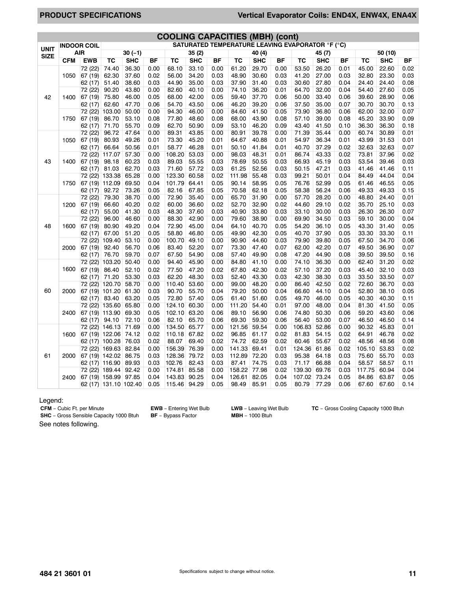# **PRODUCT SPECIFICATIONS Vertical Evaporator Coils: END4X, ENW4X, ENA4X**

|             |            |                    |                         |                |              | <b>COOLING CAPACITIES (MBH) (cont)</b> |                |              |                                                         |                |              |                |                |              |                |                |              |
|-------------|------------|--------------------|-------------------------|----------------|--------------|----------------------------------------|----------------|--------------|---------------------------------------------------------|----------------|--------------|----------------|----------------|--------------|----------------|----------------|--------------|
| <b>UNIT</b> |            | <b>INDOOR COIL</b> |                         |                |              |                                        |                |              | <b>SATURATED TEMPERATURE LEAVING EVAPORATOR °F (°C)</b> |                |              |                |                |              |                |                |              |
| <b>SIZE</b> |            | <b>AIR</b>         |                         | $30(-1)$       |              |                                        | 35(2)          |              |                                                         | 40(4)          |              |                | 45 (7)         |              |                | 50 (10)        |              |
|             | <b>CFM</b> | <b>EWB</b>         | TC                      | SHC            | <b>BF</b>    | TC                                     | SHC            | <b>BF</b>    | ТC                                                      | SHC            | BF           | ТC             | SHC            | BF           | ТC             | <b>SHC</b>     | BF           |
|             |            | 72 (22)            | 74.40                   | 36.30          | 0.00         | 68.10                                  | 33.10          | 0.00         | 61.20                                                   | 29.70          | 0.00         | 53.50          | 26.20          | 0.01         | 45.00          | 22.60          | 0.02         |
|             | 1050       | 67 (19)            | 62.30                   | 37.60          | 0.02         | 56.00                                  | 34.20          | 0.03         | 48.90                                                   | 30.60          | 0.03         | 41.20          | 27.00          | 0.03         | 32.80          | 23.30          | 0.03         |
|             |            | 62 (17)            | 51.40                   | 38.60          | 0.03         | 44.90                                  | 35.00          | 0.03         | 37.90                                                   | 31.40          | 0.03         | 30.60          | 27.80          | 0.04         | 24.40          | 24.40          | 0.08         |
|             |            | 72(22)             | 90.20                   | 43.80          | 0.00         | 82.60                                  | 40.10          | 0.00         | 74.10                                                   | 36.20          | 0.01         | 64.70          | 32.00          | 0.04         | 54.40          | 27.60          | 0.05         |
| 42          | 1400       | 67 (19)            | 75.80                   | 46.00          | 0.05         | 68.00                                  | 42.00          | 0.05         | 59.40                                                   | 37.70          | 0.06         | 50.00          | 33.40          | 0.06         | 39.60          | 28.90          | 0.06         |
|             |            | 62 (17)            | 62.60                   | 47.70          | 0.06         | 54.70                                  | 43.50          | 0.06         | 46.20                                                   | 39.20          | 0.06         | 37.50          | 35.00          | 0.07         | 30.70          | 30.70          | 0.13         |
|             |            | 72 (22)            | 103.00                  | 50.00          | 0.00         | 94.30                                  | 46.00          | 0.00         | 84.60                                                   | 41.50          | 0.05         | 73.90          | 36.80          | 0.06         | 62.00          | 32.00          | 0.07         |
|             | 1750       | 67 (19)            | 86.70                   | 53.10          | 0.08         | 77.80                                  | 48.60          | 0.08         | 68.00                                                   | 43.90          | 0.08         | 57.10          | 39.00          | 0.08         | 45.20          | 33.90          | 0.09         |
|             |            | 62 (17)            | 71.70                   | 55.70          | 0.09         | 62.70                                  | 50.90          | 0.09         | 53.10                                                   | 46.20          | 0.09         | 43.40          | 41.50          | 0.10         | 36.30          | 36.30          | 0.18         |
|             |            | 72 (22)            | 96.72                   | 47.64          | 0.00         | 89.31                                  | 43.85          | 0.00         | 80.91                                                   | 39.78          | 0.00         | 71.39          | 35.44          | 0.00         | 60.74          | 30.89          | 0.01         |
|             | 1050       | 67 (19)            | 80.93                   | 49.26          | 0.01         | 73.30                                  | 45.20          | 0.01         | 64.67                                                   | 40.88          | 0.01         | 54.97          | 36.34          | 0.01         | 43.99          | 31.53          | 0.01         |
|             |            | 62 (17)            | 66.64                   | 50.56          | 0.01         | 58.77                                  | 46.28          | 0.01         | 50.10                                                   | 41.84          | 0.01         | 40.70          | 37.29          | 0.02         | 32.63          | 32.63          | 0.07         |
|             |            | 72 (22)            | 117.07                  | 57.30          | 0.00         | 108.20                                 | 53.03          | 0.00         | 98.03                                                   | 48.31          | 0.01         | 86.74          | 43.33          | 0.02         | 73.81          | 37.96          | 0.02         |
| 43          | 1400       | 67 (19)            | 98.18                   | 60.23          | 0.03         | 89.03                                  | 55.55          | 0.03         | 78.69                                                   | 50.55          | 0.03         | 66.93          | 45.19          | 0.03         | 53.54          | 39.46          | 0.03         |
|             |            | 62 (17)            | 81.03                   | 62.70<br>65.28 | 0.03<br>0.00 | 71.60                                  | 57.72<br>60.58 | 0.03         | 61.25                                                   | 52.56<br>55.48 | 0.03<br>0.03 | 50.15<br>99.21 | 47.21<br>50.01 | 0.03         | 41.46<br>84.49 | 41.46<br>44.04 | 0.11         |
|             | 1750       | 72 (22)            | 133.38                  |                | 0.04         | 123.30<br>101.79                       | 64.41          | 0.02<br>0.05 | 111.98<br>90.14                                         | 58.95          |              | 76.76          | 52.99          | 0.04         | 61.46          | 46.55          | 0.04<br>0.05 |
|             |            | 67 (19)<br>62 (17) | 112.09<br>92.72         | 69.50<br>73.26 | 0.05         | 82.16                                  | 67.85          | 0.05         | 70.58                                                   | 62.18          | 0.05<br>0.05 | 58.38          | 56.24          | 0.05<br>0.06 | 49.33          | 49.33          | 0.15         |
|             |            | 72 (22)            | 79.30                   | 38.70          | 0.00         | 72.90                                  | 35.40          | 0.00         | 65.70                                                   | 31.90          | 0.00         | 57.70          | 28.20          | 0.00         | 48.80          | 24.40          | 0.01         |
|             | 1200       | 67 (19)            | 66.60                   | 40.20          | 0.02         | 60.00                                  | 36.60          | 0.02         | 52.70                                                   | 32.90          | 0.02         | 44.60          | 29.10          | 0.02         | 35.70          | 25.10          | 0.03         |
| 48          |            | 62 (17)            | 55.00                   | 41.30          | 0.03         | 48.30                                  | 37.60          | 0.03         | 40.90                                                   | 33.80          | 0.03         | 33.10          | 30.00          | 0.03         | 26.30          | 26.30          | 0.07         |
|             |            | 72(22)             | 96.00                   | 46.60          | 0.00         | 88.30                                  | 42.90          | 0.00         | 79.60                                                   | 38.90          | 0.00         | 69.90          | 34.50          | 0.03         | 59.10          | 30.00          | 0.04         |
|             | 1600       | 67 (19)            | 80.90                   | 49.20          | 0.04         | 72.90                                  | 45.00          | 0.04         | 64.10                                                   | 40.70          | 0.05         | 54.20          | 36.10          | 0.05         | 43.30          | 31.40          | 0.05         |
|             |            | 62 (17)            | 67.00                   | 51.20          | 0.05         | 58.80                                  | 46.80          | 0.05         | 49.90                                                   | 42.30          | 0.05         | 40.70          | 37.90          | 0.05         | 33.30          | 33.30          | 0.11         |
|             |            | 72 (22)            | 109.40                  | 53.10          | 0.00         | 100.70                                 | 49.10          | 0.00         | 90.90                                                   | 44.60          | 0.03         | 79.90          | 39.80          | 0.05         | 67.50          | 34.70          | 0.06         |
|             | 2000       | 67 (19)            | 92.40                   | 56.70          | 0.06         | 83.40                                  | 52.20          | 0.07         | 73.30                                                   | 47.40          | 0.07         | 62.00          | 42.20          | 0.07         | 49.50          | 36.90          | 0.07         |
|             |            | 62 (17)            | 76.70                   | 59.70          | 0.07         | 67.50                                  | 54.90          | 0.08         | 57.40                                                   | 49.90          | 0.08         | 47.20          | 44.90          | 0.08         | 39.50          | 39.50          | 0.16         |
|             |            | 72(22)             | 103.20                  | 50.40          | 0.00         | 94.40                                  | 45.90          | 0.00         | 84.80                                                   | 41.10          | 0.00         | 74.10          | 36.30          | 0.00         | 62.40          | 31.20          | 0.02         |
|             | 1600       | 67 (19)            | 86.40                   | 52.10          | 0.02         | 77.50                                  | 47.20          | 0.02         | 67.80                                                   | 42.30          | 0.02         | 57.10          | 37.20          | 0.03         | 45.40          | 32.10          | 0.03         |
|             |            | 62 (17)            | 71.20                   | 53.30          | 0.03         | 62.20                                  | 48.30          | 0.03         | 52.40                                                   | 43.30          | 0.03         | 42.30          | 38.30          | 0.03         | 33.50          | 33.50          | 0.07         |
|             |            | 72 (22)            | 120.70                  | 58.70          | 0.00         | 110.40                                 | 53.60          | 0.00         | 99.00                                                   | 48.20          | 0.00         | 86.40          | 42.50          | 0.02         | 72.60          | 36.70          | 0.03         |
| 60          | 2000       | 67 (19) 101.20     |                         | 61.30          | 0.03         | 90.70                                  | 55.70          | 0.04         | 79.20                                                   | 50.00          | 0.04         | 66.60          | 44.10          | 0.04         | 52.80          | 38.10          | 0.05         |
|             |            | 62 (17)            | 83.40                   | 63.20          | 0.05         | 72.80                                  | 57.40          | 0.05         | 61.40                                                   | 51.60          | 0.05         | 49.70          | 46.00          | 0.05         | 40.30          | 40.30          | 0.11         |
|             |            | 72 (22)            | 135.60                  | 65.80          | 0.00         | 124.10                                 | 60.30          | 0.00         | 111.20                                                  | 54.40          | 0.01         | 97.00          | 48.00          | 0.04         | 81.30          | 41.50          | 0.05         |
|             | 2400       | 67 (19)            | 113.90                  | 69.30          | 0.05         | 102.10                                 | 63.20          | 0.06         | 89.10                                                   | 56.90          | 0.06         | 74.80          | 50.30          | 0.06         | 59.20          | 43.60          | 0.06         |
|             |            | 62 (17)            | 94.10                   | 72.10          | 0.06         | 82.10                                  | 65.70          | 0.06         | 69.30                                                   | 59.30          | 0.06         | 56.40          | 53.00          | 0.07         | 46.50          | 46.50          | 0.14         |
|             |            |                    | 72 (22) 146.13          | 71.69          | 0.00         | 134.50                                 | 65.77          | 0.00         | 121.56                                                  | 59.54          | 0.00         | 106.83         | 52.86          | 0.00         | 90.32          | 45.83          | 0.01         |
|             | 1600       | 67 (19) 122.06     |                         | 74.12          | 0.02         | 110.18                                 | 67.82          | 0.02         | 96.85                                                   | 61.17          | 0.02         | 81.83          | 54.15          | 0.02         | 64.91          | 46.78          | 0.02         |
|             |            | 62 (17) 100.28     |                         | 76.03          | 0.02         | 88.07                                  | 69.40          | 0.02         | 74.72                                                   | 62.59          | 0.02         | 60.46          | 55.67          | 0.02         | 48.56          | 48.56          | 0.08         |
|             |            | 72 (22)            | 169.63                  | 82.84          | 0.00         | 156.39                                 | 76.39          | 0.00         | 141.33                                                  | 69.41          | 0.01         | 124.36         | 61.86          | 0.02         | 105.10         | 53.83          | 0.02         |
| 61          | 2000       | 67 (19) 142.02     |                         | 86.75          | 0.03         | 128.36                                 | 79.72          | 0.03         | 112.89                                                  | 72.20          | 0.03         | 95.38          | 64.18          | 0.03         | 75.60          | 55.70          | 0.03         |
|             |            | 62(17)             | 116.90                  | 89.93          | 0.03         | 102.76                                 | 82.43          | 0.03         | 87.41                                                   | 74.75          | 0.03         | 71.17          | 66.88          | 0.04         | 58.57          | 58.57          | 0.11         |
|             |            |                    | 72 (22) 189.44          | 92.42          | 0.00         | 174.81                                 | 85.58          | 0.00         | 158.22                                                  | 77.98          | 0.02         | 139.30         | 69.76          | 0.03         | 117.75         | 60.94          | 0.04         |
|             | 2400       | 67 (19) 158.99     |                         | 97.85          | 0.04         | 143.83                                 | 90.25          | 0.04         | 126.61                                                  | 82.05          | 0.04         | 107.02         | 73.24          | 0.05         | 84.86          | 63.87          | 0.05         |
|             |            |                    | 62 (17)  131.10  102.40 |                | 0.05         | 115.46                                 | 94.29          | 0.05         | 98.49                                                   | 85.91          | 0.05         | 80.79          | 77.29          | 0.06         | 67.60          | 67.60          | 0.14         |

Legend:<br>CFM - Cubic Ft. per Minute

**SHC** − Gross Sensible Capacity 1000 Btuh

**EWB** − Entering Wet Bulb **LWB** − Leaving Wet Bulb **TC** − Gross Cooling Capacity 1000 Btuh **BF** − Bypass Factor **MBH** − 1000 Btuh

See notes following.